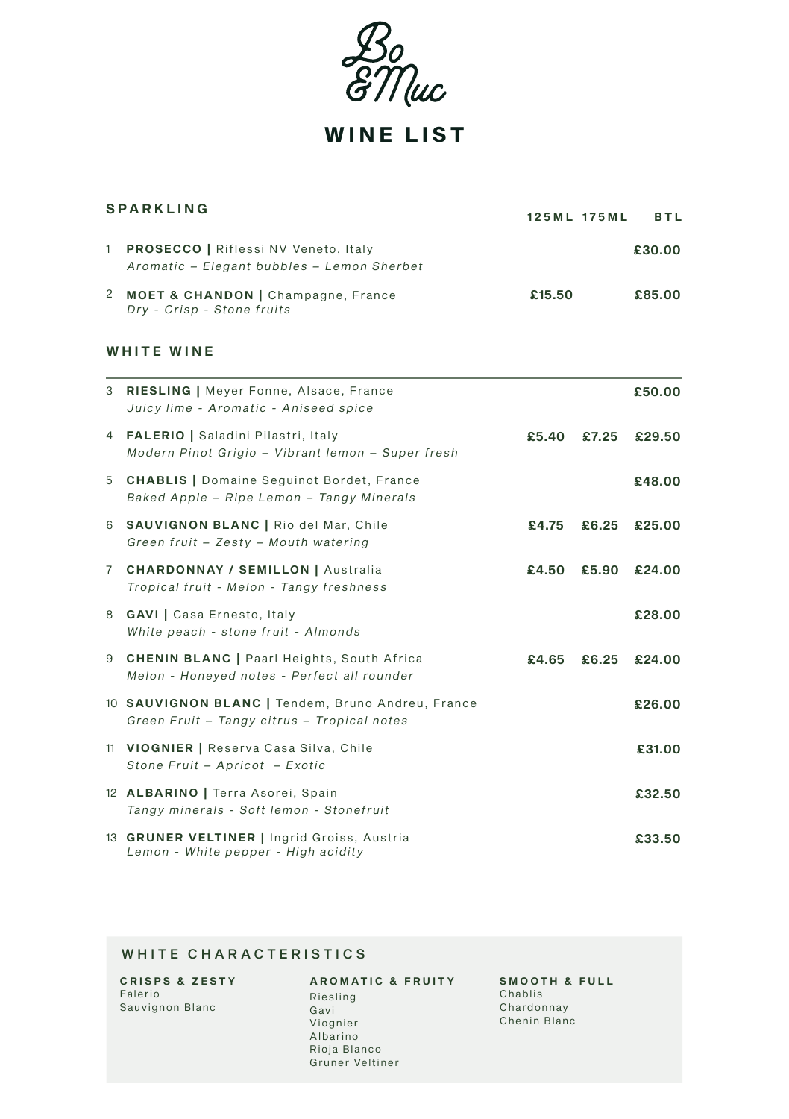Josep (uc

WINE LIST

| <b>SPARKLING</b> |                                                                                                  |        | 125ML 175ML | BTL    |
|------------------|--------------------------------------------------------------------------------------------------|--------|-------------|--------|
| 1                | <b>PROSECCO   Riflessi NV Veneto, Italy</b><br>Aromatic - Elegant bubbles - Lemon Sherbet        |        |             | £30.00 |
|                  | 2 MOET & CHANDON   Champagne, France<br>Dry - Crisp - Stone fruits                               | £15.50 |             | £85.00 |
|                  | WHITE WINE                                                                                       |        |             |        |
|                  | 3 RIESLING   Meyer Fonne, Alsace, France<br>Juicy lime - Aromatic - Aniseed spice                |        |             | £50.00 |
|                  | 4 FALERIO   Saladini Pilastri, Italy<br>Modern Pinot Grigio - Vibrant lemon - Super fresh        | £5.40  | £7.25       | £29.50 |
|                  | 5 CHABLIS   Domaine Seguinot Bordet, France<br>Baked Apple - Ripe Lemon - Tangy Minerals         |        |             | £48.00 |
|                  | 6 SAUVIGNON BLANC   Rio del Mar, Chile<br>Green fruit - Zesty - Mouth watering                   | £4.75  | £6.25       | £25.00 |
|                  | 7 CHARDONNAY / SEMILLON   Australia<br>Tropical fruit - Melon - Tangy freshness                  | £4.50  | £5.90       | £24.00 |
|                  | 8 GAVI   Casa Ernesto, Italy<br>White peach - stone fruit - Almonds                              |        |             | £28.00 |
|                  | 9 CHENIN BLANC   Paarl Heights, South Africa<br>Melon - Honeyed notes - Perfect all rounder      | £4.65  | £6.25       | £24.00 |
|                  | 10 SAUVIGNON BLANC   Tendem, Bruno Andreu, France<br>Green Fruit - Tangy citrus - Tropical notes |        |             | £26.00 |
|                  | 11 VIOGNIER   Reserva Casa Silva, Chile<br>Stone Fruit - Apricot - Exotic                        |        |             | £31.00 |
|                  | 12 ALBARINO   Terra Asorei, Spain<br>Tangy minerals - Soft lemon - Stonefruit                    |        |             | £32.50 |
|                  | 13 GRUNER VELTINER   Ingrid Groiss, Austria<br>Lemon - White pepper - High acidity               |        |             | £33.50 |

## WHITE CHARACTERISTICS

| <b>CRISPS &amp; ZESTY</b> |
|---------------------------|
| Falerio                   |
| Sauvignon Blanc           |
|                           |

## A ROMATIC & FRUITY Riesling Gavi Viognier Albarino Rioja Blanco

Gruner Veltiner

SMOOTH & FULL Chablis Chardonnay Chenin Blanc